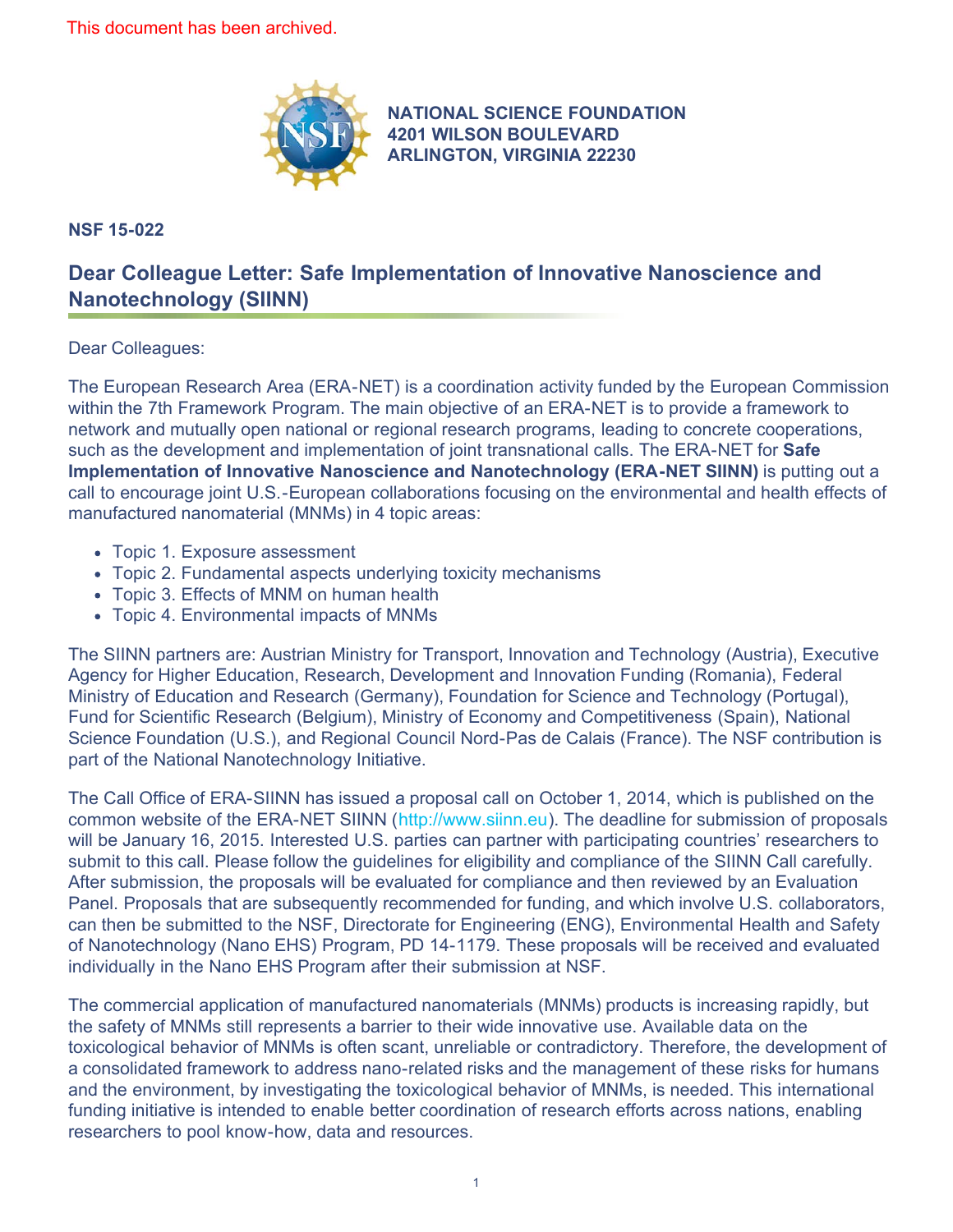

**NSF 15-022**

## **[NATIONAL SCIENCE FOUNDATION](http://www.nsf.gov) 4201 WILSON BOULEVARD ARLINGTON, VIRGINIA 22230**

## **Dear Colleague Letter: Safe Implementation of Innovative Nanoscience and Nanotechnology (SIINN)**

## Dear Colleagues:

The European Research Area (ERA-NET) is a coordination activity funded by the European Commission within the 7th Framework Program. The main objective of an ERA-NET is to provide a framework to network and mutually open national or regional research programs, leading to concrete cooperations, such as the development and implementation of joint transnational calls. The ERA-NET for **Safe Implementation of Innovative Nanoscience and Nanotechnology (ERA-NET SIINN)** is putting out a call to encourage joint U.S.-European collaborations focusing on the environmental and health effects of manufactured nanomaterial (MNMs) in 4 topic areas:

- Topic 1. Exposure assessment
- Topic 2. Fundamental aspects underlying toxicity mechanisms
- Topic 3. Effects of MNM on human health
- Topic 4. Environmental impacts of MNMs

The SIINN partners are: Austrian Ministry for Transport, Innovation and Technology (Austria), Executive Agency for Higher Education, Research, Development and Innovation Funding (Romania), Federal Ministry of Education and Research (Germany), Foundation for Science and Technology (Portugal), Fund for Scientific Research (Belgium), Ministry of Economy and Competitiveness (Spain), National Science Foundation (U.S.), and Regional Council Nord-Pas de Calais (France). The NSF contribution is part of the National Nanotechnology Initiative.

The Call Office of ERA-SIINN has issued a proposal call on October 1, 2014, which is published on the common website of the ERA-NET SIINN ([http://www.siinn.eu](http://www.nsf.gov/cgi-bin/goodbye?http://www.siinn.eu)). The deadline for submission of proposals will be January 16, 2015. Interested U.S. parties can partner with participating countries' researchers to submit to this call. Please follow the guidelines for eligibility and compliance of the SIINN Call carefully. After submission, the proposals will be evaluated for compliance and then reviewed by an Evaluation Panel. Proposals that are subsequently recommended for funding, and which involve U.S. collaborators, can then be submitted to the NSF, Directorate for Engineering (ENG), Environmental Health and Safety of Nanotechnology (Nano EHS) Program, PD 14-1179. These proposals will be received and evaluated individually in the Nano EHS Program after their submission at NSF.

The commercial application of manufactured nanomaterials (MNMs) products is increasing rapidly, but the safety of MNMs still represents a barrier to their wide innovative use. Available data on the toxicological behavior of MNMs is often scant, unreliable or contradictory. Therefore, the development of a consolidated framework to address nano-related risks and the management of these risks for humans and the environment, by investigating the toxicological behavior of MNMs, is needed. This international funding initiative is intended to enable better coordination of research efforts across nations, enabling researchers to pool know-how, data and resources.